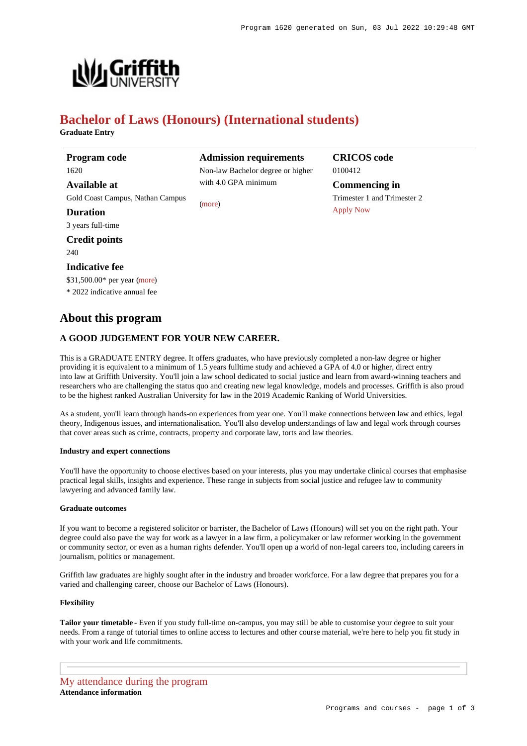**CRICOS code**

**Commencing in** Trimester 1 and Trimester 2

0100412

[Apply Now](https://www148.griffith.edu.au/programs-courses/Program/1620/HowToApply/International#process)



# **Bachelor of Laws (Honours) (International students)**

**Graduate Entry**

| Program code                     | <b>Admissio</b> |
|----------------------------------|-----------------|
| 1620                             | Non-law Ba      |
| Available at                     | with $4.0$ GP.  |
| Gold Coast Campus, Nathan Campus | (more)          |
| <b>Duration</b>                  |                 |
| 3 years full-time                |                 |
| <b>Credit points</b>             |                 |
| 240                              |                 |
| Indicative fee                   |                 |
|                                  |                 |

**Admission requirements** chelor degree or higher A minimum

\$31,500.00\* per year [\(more](https://www148.griffith.edu.au/programs-courses/Program/1620/Overview/International#fees))

\* 2022 indicative annual fee

# **About this program**

# **A GOOD JUDGEMENT FOR YOUR NEW CAREER.**

This is a GRADUATE ENTRY degree. It offers graduates, who have previously completed a non-law degree or higher providing it is equivalent to a minimum of 1.5 years fulltime study and achieved a GPA of 4.0 or higher, direct entry into law at Griffith University. You'll join a law school dedicated to social justice and learn from award-winning teachers and researchers who are challenging the status quo and creating new legal knowledge, models and processes. Griffith is also proud to be the highest ranked Australian University for law in the 2019 Academic Ranking of World Universities.

As a student, you'll learn through hands-on experiences from year one. You'll make connections between law and ethics, legal theory, Indigenous issues, and internationalisation. You'll also develop understandings of law and legal work through courses that cover areas such as crime, contracts, property and corporate law, torts and law theories.

#### **Industry and expert connections**

You'll have the opportunity to choose electives based on your interests, plus you may undertake clinical courses that emphasise practical legal skills, insights and experience. These range in subjects from social justice and refugee law to community lawyering and advanced family law.

#### **Graduate outcomes**

If you want to become a registered solicitor or barrister, the Bachelor of Laws (Honours) will set you on the right path. Your degree could also pave the way for work as a lawyer in a law firm, a policymaker or law reformer working in the government or community sector, or even as a human rights defender. You'll open up a world of non-legal careers too, including careers in journalism, politics or management.

Griffith law graduates are highly sought after in the industry and broader workforce. For a law degree that prepares you for a varied and challenging career, choose our Bachelor of Laws (Honours).

#### **Flexibility**

**Tailor your timetable** - Even if you study full-time on-campus, you may still be able to customise your degree to suit your needs. From a range of tutorial times to online access to lectures and other course material, we're here to help you fit study in with your work and life commitments.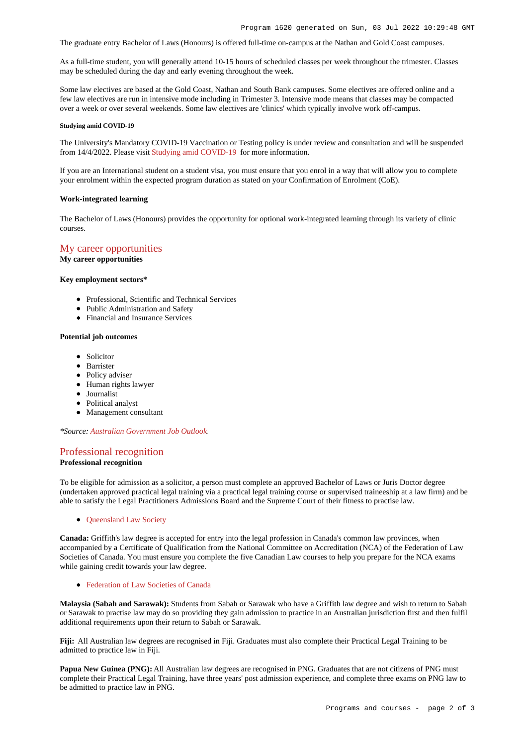The graduate entry Bachelor of Laws (Honours) is offered full-time on-campus at the Nathan and Gold Coast campuses.

As a full-time student, you will generally attend 10-15 hours of scheduled classes per week throughout the trimester. Classes may be scheduled during the day and early evening throughout the week.

Some law electives are based at the Gold Coast, Nathan and South Bank campuses. Some electives are offered online and a few law electives are run in intensive mode including in Trimester 3. Intensive mode means that classes may be compacted over a week or over several weekends. Some law electives are 'clinics' which typically involve work off-campus.

#### **Studying amid COVID-19**

The University's Mandatory COVID-19 Vaccination or Testing policy is under review and consultation and will be suspended from 14/4/2022. Please visit [Studying amid COVID-19](https://www.griffith.edu.au/coronavirus/studying-amid-covid-19) for more information.

If you are an International student on a student visa, you must ensure that you enrol in a way that will allow you to complete your enrolment within the expected program duration as stated on your Confirmation of Enrolment (CoE).

#### **Work-integrated learning**

The Bachelor of Laws (Honours) provides the opportunity for optional work-integrated learning through its variety of clinic courses.

# [My career opportunities](https://www148.griffith.edu.au/programs-courses/Program/1620/Overview/International#opportunities)

**My career opportunities**

#### **Key employment sectors\***

- Professional, Scientific and Technical Services
- Public Administration and Safety
- Financial and Insurance Services

#### **Potential job outcomes**

- Solicitor
- Barrister
- Policy adviser
- Human rights lawyer
- Journalist
- Political analyst
- Management consultant

*\*Source: [Australian Government Job Outlook](https://joboutlook.gov.au/).*

### [Professional recognition](https://www148.griffith.edu.au/programs-courses/Program/1620/Overview/International#recognition)

## **Professional recognition**

To be eligible for admission as a solicitor, a person must complete an approved Bachelor of Laws or Juris Doctor degree (undertaken approved practical legal training via a practical legal training course or supervised traineeship at a law firm) and be able to satisfy the Legal Practitioners Admissions Board and the Supreme Court of their fitness to practise law.

• Oueensland Law Society

**Canada:** Griffith's law degree is accepted for entry into the legal profession in Canada's common law provinces, when accompanied by a Certificate of Qualification from the National Committee on Accreditation (NCA) of the Federation of Law Societies of Canada. You must ensure you complete the five Canadian Law courses to help you prepare for the NCA exams while gaining credit towards your law degree.

[Federation of Law Societies of Canada](http://flsc.ca/)

**Malaysia (Sabah and Sarawak):** Students from Sabah or Sarawak who have a Griffith law degree and wish to return to Sabah or Sarawak to practise law may do so providing they gain admission to practice in an Australian jurisdiction first and then fulfil additional requirements upon their return to Sabah or Sarawak.

**Fiji:** All Australian law degrees are recognised in Fiji. Graduates must also complete their Practical Legal Training to be admitted to practice law in Fiji.

**Papua New Guinea (PNG):** All Australian law degrees are recognised in PNG. Graduates that are not citizens of PNG must complete their Practical Legal Training, have three years' post admission experience, and complete three exams on PNG law to be admitted to practice law in PNG.